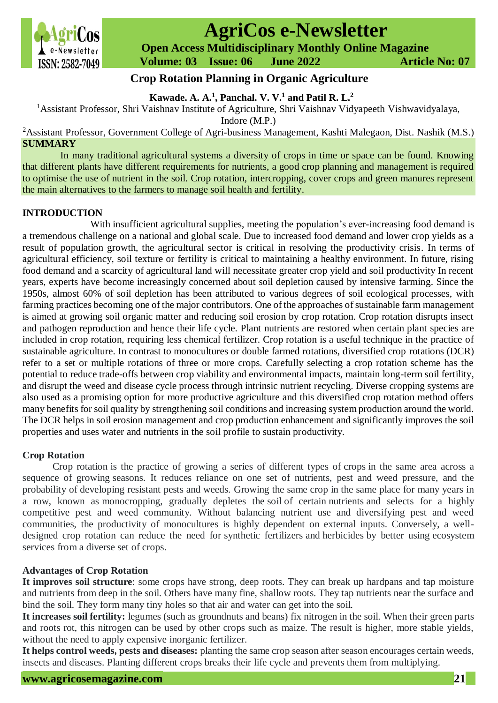

# **AgriCos e-Newsletter**

 **Open Access Multidisciplinary Monthly Online Magazine**

 **Volume: 03 Issue: 06 June 2022 Article No: 07**

## **Crop Rotation Planning in Organic Agriculture**

**Kawade. A. A.<sup>1</sup> , Panchal. V. V.<sup>1</sup> and Patil R. L.<sup>2</sup>**

<sup>1</sup>Assistant Professor, Shri Vaishnav Institute of Agriculture, Shri Vaishnav Vidyapeeth Vishwavidyalaya,

Indore (M.P.)

<sup>2</sup>Assistant Professor, Government College of Agri-business Management, Kashti Malegaon, Dist. Nashik (M.S.) **SUMMARY**

In many traditional agricultural systems a diversity of crops in time or space can be found. Knowing that different plants have different requirements for nutrients, a good crop planning and management is required to optimise the use of nutrient in the soil. Crop rotation, intercropping, cover crops and green manures represent the main alternatives to the farmers to manage soil health and fertility.

## **INTRODUCTION**

With insufficient agricultural supplies, meeting the population's ever-increasing food demand is a tremendous challenge on a national and global scale. Due to increased food demand and lower crop yields as a result of population growth, the agricultural sector is critical in resolving the productivity crisis. In terms of agricultural efficiency, soil texture or fertility is critical to maintaining a healthy environment. In future, rising food demand and a scarcity of agricultural land will necessitate greater crop yield and soil productivity In recent years, experts have become increasingly concerned about soil depletion caused by intensive farming. Since the 1950s, almost 60% of soil depletion has been attributed to various degrees of soil ecological processes, with farming practices becoming one of the major contributors. One of the approaches of sustainable farm management is aimed at growing soil organic matter and reducing soil erosion by crop rotation. Crop rotation disrupts insect and pathogen reproduction and hence their life cycle. Plant nutrients are restored when certain plant species are included in crop rotation, requiring less chemical fertilizer. Crop rotation is a useful technique in the practice of sustainable agriculture. In contrast to monocultures or double farmed rotations, diversified crop rotations (DCR) refer to a set or multiple rotations of three or more crops. Carefully selecting a crop rotation scheme has the potential to reduce trade-offs between crop viability and environmental impacts, maintain long-term soil fertility, and disrupt the weed and disease cycle process through intrinsic nutrient recycling. Diverse cropping systems are also used as a promising option for more productive agriculture and this diversified crop rotation method offers many benefits for soil quality by strengthening soil conditions and increasing system production around the world. The DCR helps in soil erosion management and crop production enhancement and significantly improves the soil properties and uses water and nutrients in the soil profile to sustain productivity.

## **Crop Rotation**

Crop rotation is the practice of growing a series of different types of [crops](https://en.wikipedia.org/wiki/Crop) in the same area across a sequence of growing [seasons.](https://en.wikipedia.org/wiki/Season) It reduces reliance on one set of nutrients, pest and weed pressure, and the probability of developing resistant pests and weeds. Growing the same crop in the same place for many years in a row, known as [monocropping,](https://en.wikipedia.org/wiki/Monocropping) gradually depletes the [soil](https://en.wikipedia.org/wiki/Soil) of certain [nutrients](https://en.wikipedia.org/wiki/Nutrient) and selects for a highly competitive pest and weed community. Without balancing nutrient use and diversifying pest and weed communities, the productivity of monocultures is highly dependent on external inputs. Conversely, a welldesigned crop rotation can reduce the need for [synthetic fertilizers](https://en.wikipedia.org/wiki/Fertilizer) and [herbicides](https://en.wikipedia.org/wiki/Herbicide) by better using [ecosystem](https://en.wikipedia.org/wiki/Ecosystem_services)  [services](https://en.wikipedia.org/wiki/Ecosystem_services) from a diverse set of crops.

## **Advantages of Crop Rotation**

**It improves soil structure**: some crops have strong, deep roots. They can break up hardpans and tap moisture and nutrients from deep in the soil. Others have many fine, shallow roots. They tap nutrients near the surface and bind the soil. They form many tiny holes so that air and water can get into the soil.

**It increases soil fertility:** legumes (such as groundnuts and beans) fix nitrogen in the soil. When their green parts and roots rot, this nitrogen can be used by other crops such as maize. The result is higher, more stable yields, without the need to apply expensive inorganic fertilizer.

**It helps control weeds, pests and diseases:** planting the same crop season after season encourages certain weeds, insects and diseases. Planting different crops breaks their life cycle and prevents them from multiplying.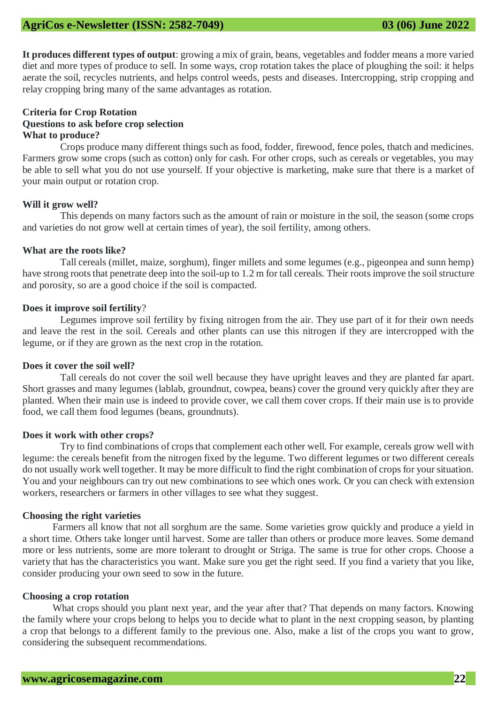**It produces different types of output**: growing a mix of grain, beans, vegetables and fodder means a more varied diet and more types of produce to sell. In some ways, crop rotation takes the place of ploughing the soil: it helps aerate the soil, recycles nutrients, and helps control weeds, pests and diseases. Intercropping, strip cropping and relay cropping bring many of the same advantages as rotation.

#### **Criteria for Crop Rotation Questions to ask before crop selection What to produce?**

Crops produce many different things such as food, fodder, firewood, fence poles, thatch and medicines. Farmers grow some crops (such as cotton) only for cash. For other crops, such as cereals or vegetables, you may be able to sell what you do not use yourself. If your objective is marketing, make sure that there is a market of your main output or rotation crop.

#### **Will it grow well?**

This depends on many factors such as the amount of rain or moisture in the soil, the season (some crops and varieties do not grow well at certain times of year), the soil fertility, among others.

#### **What are the roots like?**

Tall cereals (millet, maize, sorghum), finger millets and some legumes (e.g., pigeonpea and sunn hemp) have strong roots that penetrate deep into the soil-up to 1.2 m for tall cereals. Their roots improve the soil structure and porosity, so are a good choice if the soil is compacted.

#### **Does it improve soil fertility**?

Legumes improve soil fertility by fixing nitrogen from the air. They use part of it for their own needs and leave the rest in the soil. Cereals and other plants can use this nitrogen if they are intercropped with the legume, or if they are grown as the next crop in the rotation.

#### **Does it cover the soil well?**

Tall cereals do not cover the soil well because they have upright leaves and they are planted far apart. Short grasses and many legumes (lablab, groundnut, cowpea, beans) cover the ground very quickly after they are planted. When their main use is indeed to provide cover, we call them cover crops. If their main use is to provide food, we call them food legumes (beans, groundnuts).

#### **Does it work with other crops?**

Try to find combinations of crops that complement each other well. For example, cereals grow well with legume: the cereals benefit from the nitrogen fixed by the legume. Two different legumes or two different cereals do not usually work well together. It may be more difficult to find the right combination of crops for your situation. You and your neighbours can try out new combinations to see which ones work. Or you can check with extension workers, researchers or farmers in other villages to see what they suggest.

#### **Choosing the right varieties**

Farmers all know that not all sorghum are the same. Some varieties grow quickly and produce a yield in a short time. Others take longer until harvest. Some are taller than others or produce more leaves. Some demand more or less nutrients, some are more tolerant to drought or Striga. The same is true for other crops. Choose a variety that has the characteristics you want. Make sure you get the right seed. If you find a variety that you like, consider producing your own seed to sow in the future.

#### **Choosing a crop rotation**

What crops should you plant next year, and the year after that? That depends on many factors. Knowing the family where your crops belong to helps you to decide what to plant in the next cropping season, by planting a crop that belongs to a different family to the previous one. Also, make a list of the crops you want to grow, considering the subsequent recommendations.